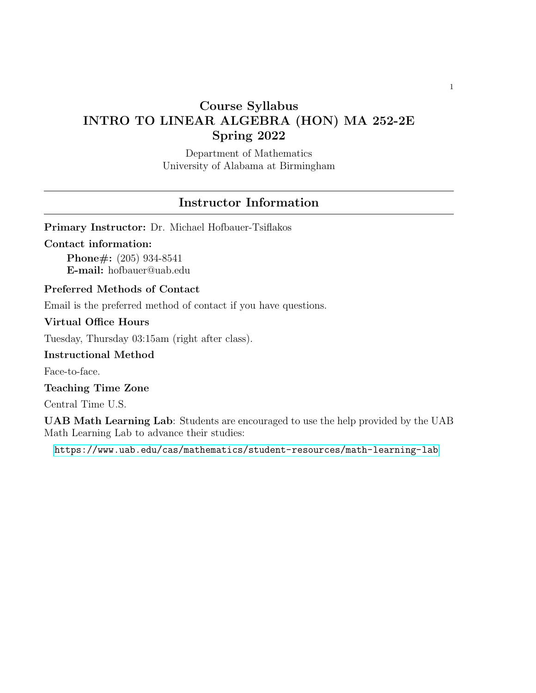# Course Syllabus INTRO TO LINEAR ALGEBRA (HON) MA 252-2E Spring 2022

Department of Mathematics University of Alabama at Birmingham

# Instructor Information

Primary Instructor: Dr. Michael Hofbauer-Tsiflakos

#### Contact information:

Phone#: (205) 934-8541 E-mail: hofbauer@uab.edu

## Preferred Methods of Contact

Email is the preferred method of contact if you have questions.

## Virtual Office Hours

Tuesday, Thursday 03:15am (right after class).

#### Instructional Method

Face-to-face.

Teaching Time Zone

Central Time U.S.

UAB Math Learning Lab: Students are encouraged to use the help provided by the UAB Math Learning Lab to advance their studies:

[https://www.uab.edu/cas/mathematics/student-resources/math-learning-lab](https: //www.uab.edu/cas/mathematics/student-resources/math-learning-lab)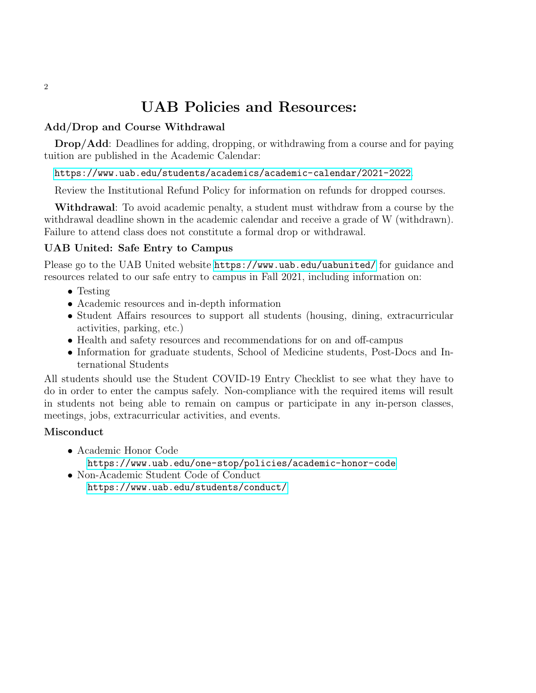# UAB Policies and Resources:

## Add/Drop and Course Withdrawal

Drop/Add: Deadlines for adding, dropping, or withdrawing from a course and for paying tuition are published in the Academic Calendar:

## <https://www.uab.edu/students/academics/academic-calendar/2021-2022>.

Review the Institutional Refund Policy for information on refunds for dropped courses.

Withdrawal: To avoid academic penalty, a student must withdraw from a course by the withdrawal deadline shown in the academic calendar and receive a grade of W (withdrawn). Failure to attend class does not constitute a formal drop or withdrawal.

## UAB United: Safe Entry to Campus

Please go to the UAB United website <https://www.uab.edu/uabunited/> for guidance and resources related to our safe entry to campus in Fall 2021, including information on:

- Testing
- Academic resources and in-depth information
- Student Affairs resources to support all students (housing, dining, extracurricular activities, parking, etc.)
- Health and safety resources and recommendations for on and off-campus
- Information for graduate students, School of Medicine students, Post-Docs and International Students

All students should use the Student COVID-19 Entry Checklist to see what they have to do in order to enter the campus safely. Non-compliance with the required items will result in students not being able to remain on campus or participate in any in-person classes, meetings, jobs, extracurricular activities, and events.

## Misconduct

- Academic Honor Code
	- <https://www.uab.edu/one-stop/policies/academic-honor-code>
- Non-Academic Student Code of Conduct <https://www.uab.edu/students/conduct/>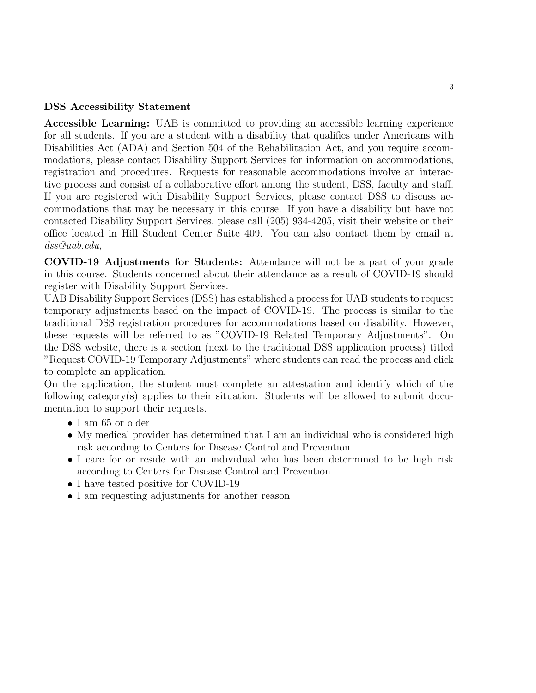## DSS Accessibility Statement

Accessible Learning: UAB is committed to providing an accessible learning experience for all students. If you are a student with a disability that qualifies under Americans with Disabilities Act (ADA) and Section 504 of the Rehabilitation Act, and you require accommodations, please contact Disability Support Services for information on accommodations, registration and procedures. Requests for reasonable accommodations involve an interactive process and consist of a collaborative effort among the student, DSS, faculty and staff. If you are registered with Disability Support Services, please contact DSS to discuss accommodations that may be necessary in this course. If you have a disability but have not contacted Disability Support Services, please call (205) 934-4205, visit their website or their office located in Hill Student Center Suite 409. You can also contact them by email at dss@uab.edu,

COVID-19 Adjustments for Students: Attendance will not be a part of your grade in this course. Students concerned about their attendance as a result of COVID-19 should register with Disability Support Services.

UAB Disability Support Services (DSS) has established a process for UAB students to request temporary adjustments based on the impact of COVID-19. The process is similar to the traditional DSS registration procedures for accommodations based on disability. However, these requests will be referred to as "COVID-19 Related Temporary Adjustments". On the DSS website, there is a section (next to the traditional DSS application process) titled "Request COVID-19 Temporary Adjustments" where students can read the process and click to complete an application.

On the application, the student must complete an attestation and identify which of the following category(s) applies to their situation. Students will be allowed to submit documentation to support their requests.

- I am 65 or older
- My medical provider has determined that I am an individual who is considered high risk according to Centers for Disease Control and Prevention
- I care for or reside with an individual who has been determined to be high risk according to Centers for Disease Control and Prevention
- I have tested positive for COVID-19
- I am requesting adjustments for another reason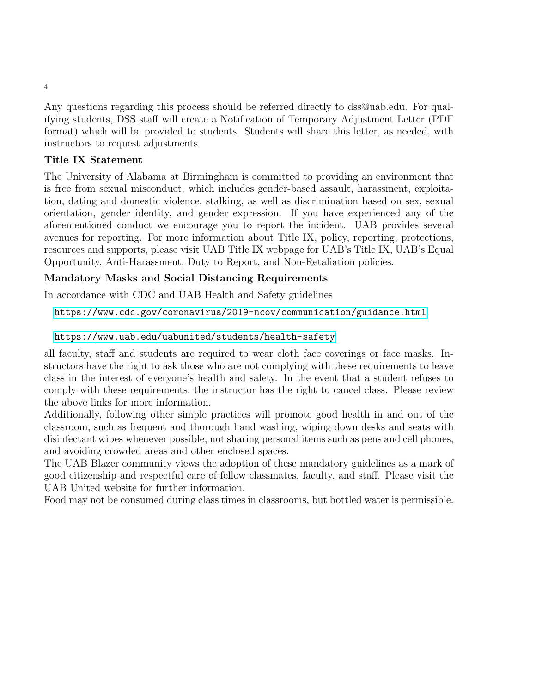Any questions regarding this process should be referred directly to dss@uab.edu. For qualifying students, DSS staff will create a Notification of Temporary Adjustment Letter (PDF format) which will be provided to students. Students will share this letter, as needed, with instructors to request adjustments.

## Title IX Statement

The University of Alabama at Birmingham is committed to providing an environment that is free from sexual misconduct, which includes gender-based assault, harassment, exploitation, dating and domestic violence, stalking, as well as discrimination based on sex, sexual orientation, gender identity, and gender expression. If you have experienced any of the aforementioned conduct we encourage you to report the incident. UAB provides several avenues for reporting. For more information about Title IX, policy, reporting, protections, resources and supports, please visit UAB Title IX webpage for UAB's Title IX, UAB's Equal Opportunity, Anti-Harassment, Duty to Report, and Non-Retaliation policies.

## Mandatory Masks and Social Distancing Requirements

In accordance with CDC and UAB Health and Safety guidelines

<https://www.cdc.gov/coronavirus/2019-ncov/communication/guidance.html>

## <https://www.uab.edu/uabunited/students/health-safety>

all faculty, staff and students are required to wear cloth face coverings or face masks. Instructors have the right to ask those who are not complying with these requirements to leave class in the interest of everyone's health and safety. In the event that a student refuses to comply with these requirements, the instructor has the right to cancel class. Please review the above links for more information.

Additionally, following other simple practices will promote good health in and out of the classroom, such as frequent and thorough hand washing, wiping down desks and seats with disinfectant wipes whenever possible, not sharing personal items such as pens and cell phones, and avoiding crowded areas and other enclosed spaces.

The UAB Blazer community views the adoption of these mandatory guidelines as a mark of good citizenship and respectful care of fellow classmates, faculty, and staff. Please visit the UAB United website for further information.

Food may not be consumed during class times in classrooms, but bottled water is permissible.

4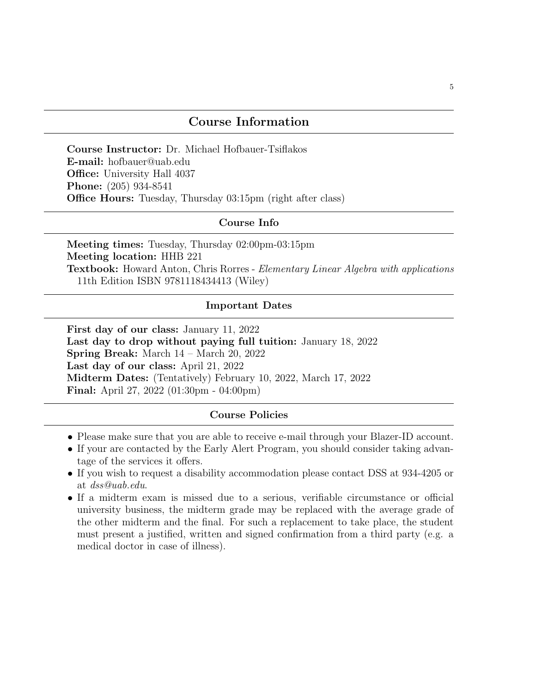## Course Information

Course Instructor: Dr. Michael Hofbauer-Tsiflakos E-mail: hofbauer@uab.edu Office: University Hall 4037 Phone: (205) 934-8541 Office Hours: Tuesday, Thursday 03:15pm (right after class)

#### Course Info

Meeting times: Tuesday, Thursday 02:00pm-03:15pm Meeting location: HHB 221 Textbook: Howard Anton, Chris Rorres - Elementary Linear Algebra with applications 11th Edition ISBN 9781118434413 (Wiley)

#### Important Dates

First day of our class: January 11, 2022 Last day to drop without paying full tuition: January 18, 2022 Spring Break: March 14 – March 20, 2022 Last day of our class: April 21, 2022 Midterm Dates: (Tentatively) February 10, 2022, March 17, 2022 Final: April 27, 2022 (01:30pm - 04:00pm)

## Course Policies

- Please make sure that you are able to receive e-mail through your Blazer-ID account.
- If your are contacted by the Early Alert Program, you should consider taking advantage of the services it offers.
- If you wish to request a disability accommodation please contact DSS at 934-4205 or at dss@uab.edu.
- If a midterm exam is missed due to a serious, verifiable circumstance or official university business, the midterm grade may be replaced with the average grade of the other midterm and the final. For such a replacement to take place, the student must present a justified, written and signed confirmation from a third party (e.g. a medical doctor in case of illness).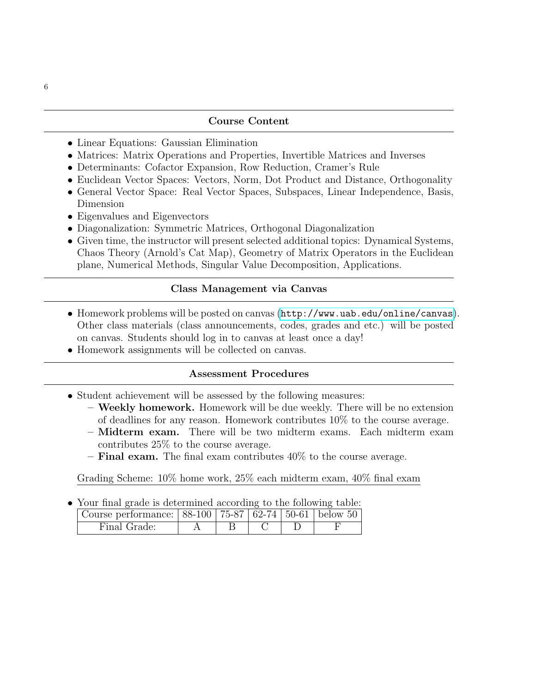#### Course Content

- Linear Equations: Gaussian Elimination
- Matrices: Matrix Operations and Properties, Invertible Matrices and Inverses
- Determinants: Cofactor Expansion, Row Reduction, Cramer's Rule
- Euclidean Vector Spaces: Vectors, Norm, Dot Product and Distance, Orthogonality
- General Vector Space: Real Vector Spaces, Subspaces, Linear Independence, Basis, Dimension
- Eigenvalues and Eigenvectors
- Diagonalization: Symmetric Matrices, Orthogonal Diagonalization
- Given time, the instructor will present selected additional topics: Dynamical Systems, Chaos Theory (Arnold's Cat Map), Geometry of Matrix Operators in the Euclidean plane, Numerical Methods, Singular Value Decomposition, Applications.

## Class Management via Canvas

- Homework problems will be posted on canvas (<http://www.uab.edu/online/canvas>). Other class materials (class announcements, codes, grades and etc.) will be posted on canvas. Students should log in to canvas at least once a day!
- Homework assignments will be collected on canvas.

## Assessment Procedures

- Student achievement will be assessed by the following measures:
	- Weekly homework. Homework will be due weekly. There will be no extension of deadlines for any reason. Homework contributes 10% to the course average.
	- Midterm exam. There will be two midterm exams. Each midterm exam contributes 25% to the course average.
	- **Final exam.** The final exam contributes  $40\%$  to the course average.

Grading Scheme: 10% home work, 25% each midterm exam, 40% final exam

• Your final grade is determined according to the following table:

| Course performance: $  88-100   75-87   62-74   50-61  $ below 50 |  |  |  |
|-------------------------------------------------------------------|--|--|--|
| Final Grade:                                                      |  |  |  |

6